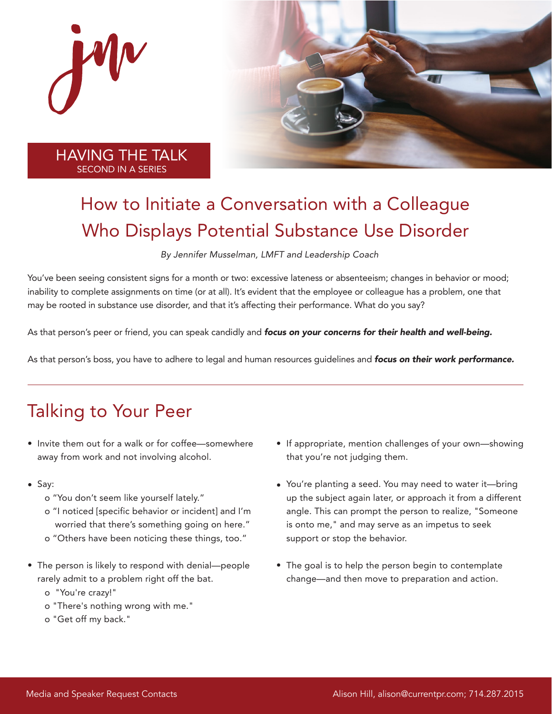

## How to Initiate a Conversation with a Colleague Who Displays Potential Substance Use Disorder

By Jennifer Musselman, LMFT and Leadership Coach

You've been seeing consistent signs for a month or two: excessive lateness or absenteeism; changes in behavior or mood; inability to complete assignments on time (or at all). It's evident that the employee or colleague has a problem, one that may be rooted in substance use disorder, and that it's affecting their performance. What do you say?

As that person's peer or friend, you can speak candidly and *focus on your concerns for their health and well-being.* 

As that person's boss, you have to adhere to legal and human resources guidelines and focus on their work performance.

## Talking to Your Peer

- Invite them out for a walk or for coffee—somewhere away from work and not involving alcohol.
- Say:
	- o "You don't seem like yourself lately."
	- o "I noticed [specific behavior or incident] and I'm worried that there's something going on here."
	- o "Others have been noticing these things, too."
- The person is likely to respond with denial—people rarely admit to a problem right off the bat.
	- o "You're crazy!"
	- o "There's nothing wrong with me."
	- o "Get off my back."
- If appropriate, mention challenges of your own—showing that you're not judging them.
- You're planting a seed. You may need to water it—bring up the subject again later, or approach it from a different angle. This can prompt the person to realize, "Someone is onto me," and may serve as an impetus to seek support or stop the behavior.
- The goal is to help the person begin to contemplate change—and then move to preparation and action.